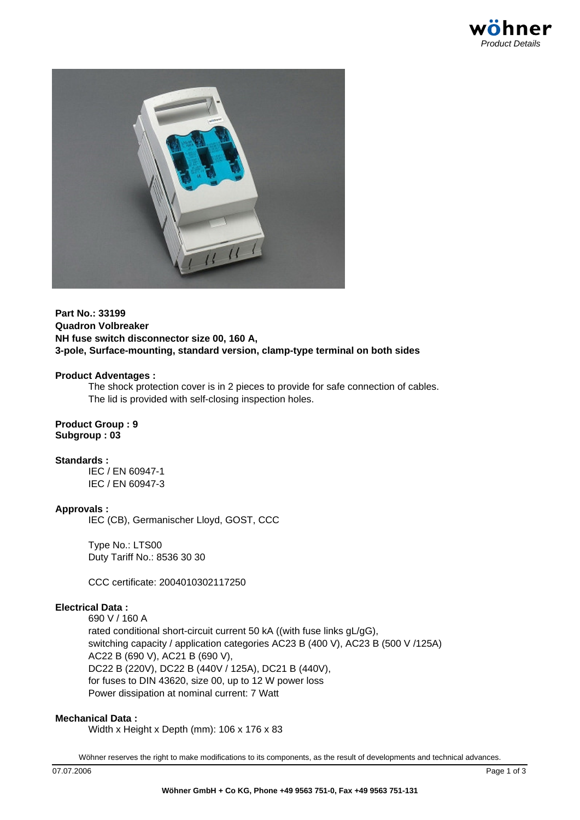



**Part No.: 33199 Quadron Volbreaker NH fuse switch disconnector size 00, 160 A, 3-pole, Surface-mounting, standard version, clamp-type terminal on both sides**

#### **Product Adventages :**

The shock protection cover is in 2 pieces to provide for safe connection of cables. The lid is provided with self-closing inspection holes.

**Product Group : 9 Subgroup : 03**

**Standards :**

IEC / EN 60947-1 IEC / EN 60947-3

## **Approvals :**

IEC (CB), Germanischer Lloyd, GOST, CCC

Type No.: LTS00 Duty Tariff No.: 8536 30 30

CCC certificate: 2004010302117250

## **Electrical Data :**

690 V / 160 A rated conditional short-circuit current 50 kA ((with fuse links gL/gG), switching capacity / application categories AC23 B (400 V), AC23 B (500 V /125A) AC22 B (690 V), AC21 B (690 V), DC22 B (220V), DC22 B (440V / 125A), DC21 B (440V), for fuses to DIN 43620, size 00, up to 12 W power loss Power dissipation at nominal current: 7 Watt

### **Mechanical Data :**

Width x Height x Depth (mm): 106 x 176 x 83

Wöhner reserves the right to make modifications to its components, as the result of developments and technical advances.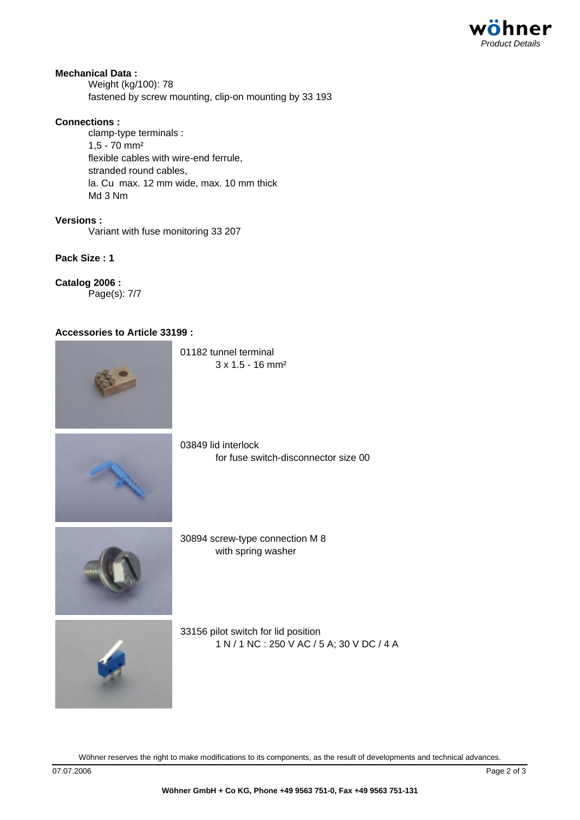

# **Mechanical Data :**

Weight (kg/100): 78 fastened by screw mounting, clip-on mounting by 33 193

### **Connections :**

clamp-type terminals : 1,5 - 70 mm² flexible cables with wire-end ferrule, stranded round cables, la. Cu max. 12 mm wide, max. 10 mm thick Md 3 Nm

**Versions :** Variant with fuse monitoring 33 207

**Pack Size : 1**

**Catalog 2006 :** Page(s): 7/7

### **Accessories to Article 33199 :**



Wöhner reserves the right to make modifications to its components, as the result of developments and technical advances.